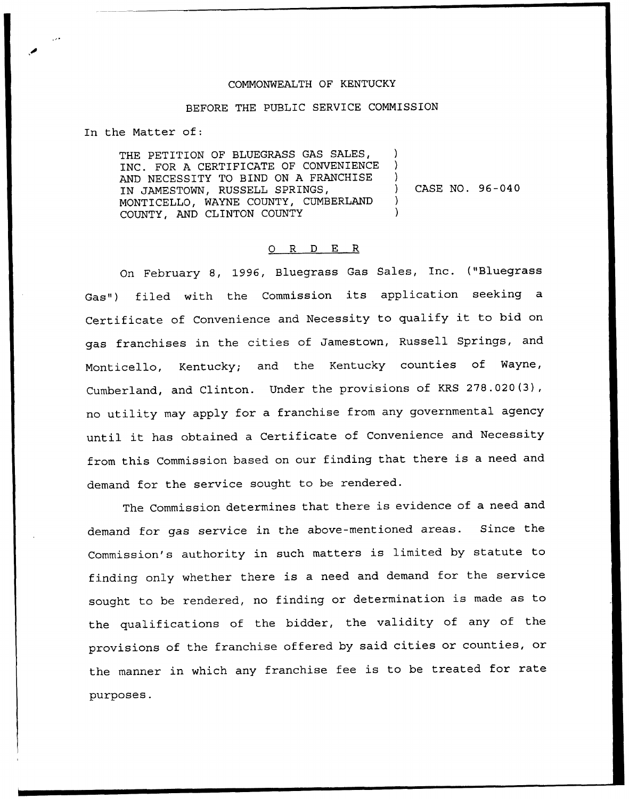## COMMONWEALTH OF KENTUCKY

## BEFORE THE PUBLIC SERVICE COMMISSION

In the Matter of:

THE PETITION OF BLUEGRASS GAS SALES, INC. FOR A CERTIFICATE OF CONVENIENCE AND NECESSITY TO BIND ON A FRANCHISE IN JAMESTOWN, RUSSELL SPRINGS, MONTICELLO, WAYNE COUNTY, CUMBERLAND COUNTY, AND CLINTON COUNTY ) ) ) ) )

) CASE NO. 96-040

## 0 R <sup>D</sup> E R

On February 8, 1996, Bluegrass Gas Sales, Inc. ("Bluegrass Gas") filed with the Commission its application seeking <sup>a</sup> Certificate of Convenience and Necessity to qualify it to bid on gas franchises in the cities of Jamestown, Russell Springs, and Monticello, Kentucky; and the Kentucky counties of Wayne, Cumberland, and Clinton. Under the provisions of KRS 278.020(3), no utility may apply for a franchise from any governmental agency until it has obtained <sup>a</sup> Certificate of Convenience and Necessity from this Commission based on our finding that there is <sup>a</sup> need and demand for the service sought to be rendered.

The Commission determines that there is evidence of a need and demand for gas service in the above-mentioned areas. Since the Commission's authority in such matters is limited by statute to finding only whether there is <sup>a</sup> need and demand for the service sought to be rendered, no finding or determination is made as to the qualifications of the bidder, the validity of any of the provisions of the franchise offered by said cities or counties, or the manner in which any franchise fee is to be treated for rate purposes.